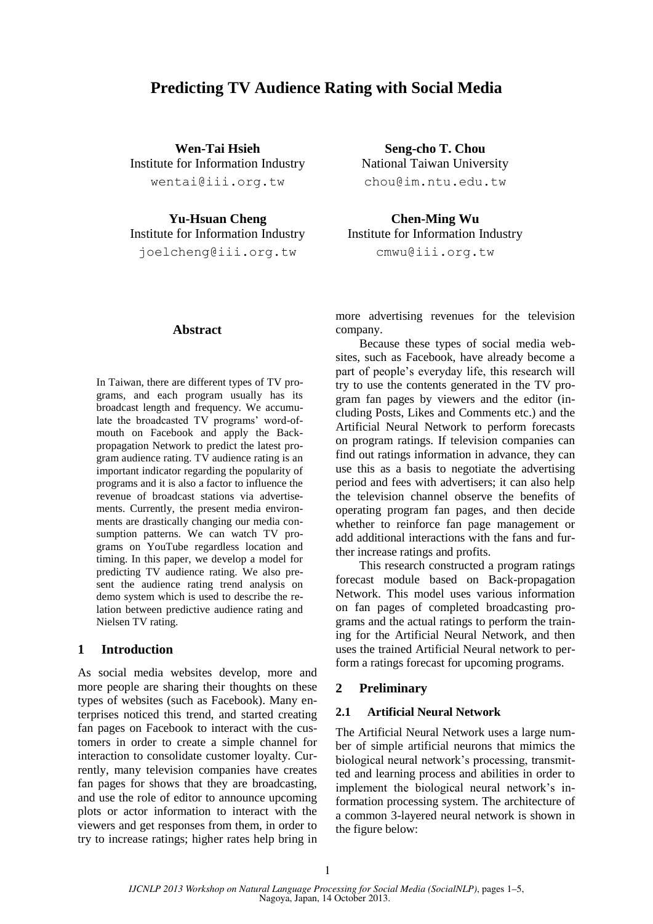# **Predicting TV Audience Rating with Social Media**

**Wen-Tai Hsieh** Institute for Information Industry wentai@iii.org.tw

**Yu-Hsuan Cheng** Institute for Information Industry joelcheng@iii.org.tw

### **Abstract**

In Taiwan, there are different types of TV programs, and each program usually has its broadcast length and frequency. We accumulate the broadcasted TV programs' word-ofmouth on Facebook and apply the Backpropagation Network to predict the latest program audience rating. TV audience rating is an important indicator regarding the popularity of programs and it is also a factor to influence the revenue of broadcast stations via advertisements. Currently, the present media environments are drastically changing our media consumption patterns. We can watch TV programs on YouTube regardless location and timing. In this paper, we develop a model for predicting TV audience rating. We also present the audience rating trend analysis on demo system which is used to describe the relation between predictive audience rating and Nielsen TV rating.

### **1 Introduction**

As social media websites develop, more and more people are sharing their thoughts on these types of websites (such as Facebook). Many enterprises noticed this trend, and started creating fan pages on Facebook to interact with the customers in order to create a simple channel for interaction to consolidate customer loyalty. Currently, many television companies have creates fan pages for shows that they are broadcasting, and use the role of editor to announce upcoming plots or actor information to interact with the viewers and get responses from them, in order to try to increase ratings; higher rates help bring in

**Seng-cho T. Chou** National Taiwan University chou@im.ntu.edu.tw

**Chen-Ming Wu** Institute for Information Industry cmwu@iii.org.tw

more advertising revenues for the television company.

Because these types of social media websites, such as Facebook, have already become a part of people's everyday life, this research will try to use the contents generated in the TV program fan pages by viewers and the editor (including Posts, Likes and Comments etc.) and the Artificial Neural Network to perform forecasts on program ratings. If television companies can find out ratings information in advance, they can use this as a basis to negotiate the advertising period and fees with advertisers; it can also help the television channel observe the benefits of operating program fan pages, and then decide whether to reinforce fan page management or add additional interactions with the fans and further increase ratings and profits.

This research constructed a program ratings forecast module based on Back-propagation Network. This model uses various information on fan pages of completed broadcasting programs and the actual ratings to perform the training for the Artificial Neural Network, and then uses the trained Artificial Neural network to perform a ratings forecast for upcoming programs.

### **2 Preliminary**

#### **2.1 Artificial Neural Network**

The Artificial Neural Network uses a large number of simple artificial neurons that mimics the biological neural network's processing, transmitted and learning process and abilities in order to implement the biological neural network's information processing system. The architecture of a common 3-layered neural network is shown in the figure below:

1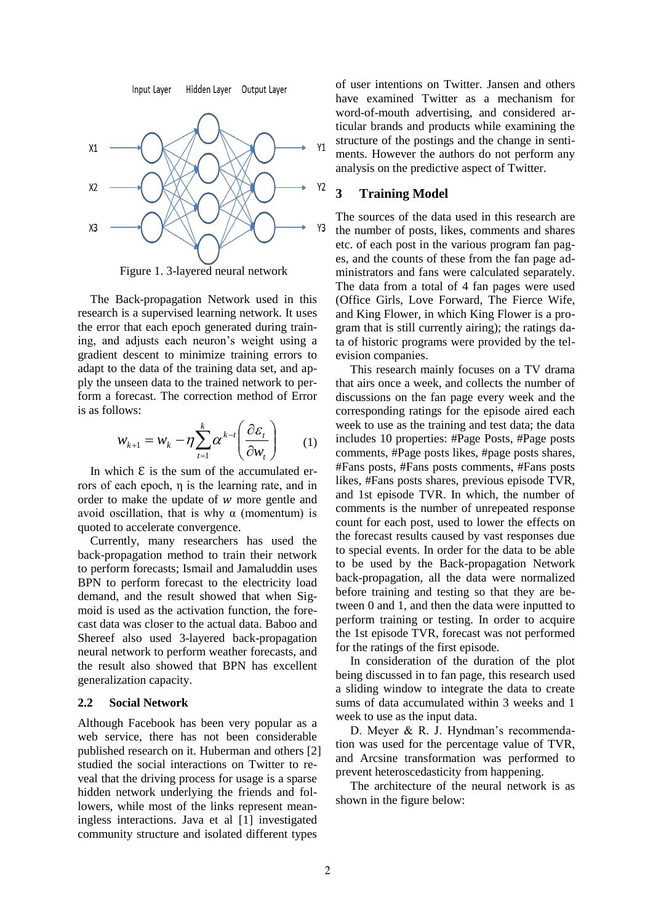

The Back-propagation Network used in this research is a supervised learning network. It uses the error that each epoch generated during training, and adjusts each neuron's weight using a gradient descent to minimize training errors to adapt to the data of the training data set, and apply the unseen data to the trained network to perform a forecast. The correction method of Error is as follows:

$$
w_{k+1} = w_k - \eta \sum_{t=1}^{k} \alpha^{k-t} \left( \frac{\partial \varepsilon_t}{\partial w_t} \right) \qquad (1)
$$

In which  $\epsilon$  is the sum of the accumulated errors of each epoch, η is the learning rate, and in order to make the update of  *more gentle and* avoid oscillation, that is why  $α$  (momentum) is quoted to accelerate convergence.

Currently, many researchers has used the back-propagation method to train their network to perform forecasts; Ismail and Jamaluddin uses BPN to perform forecast to the electricity load demand, and the result showed that when Sigmoid is used as the activation function, the forecast data was closer to the actual data. Baboo and Shereef also used 3-layered back-propagation neural network to perform weather forecasts, and the result also showed that BPN has excellent generalization capacity.

### **2.2 Social Network**

Although Facebook has been very popular as a web service, there has not been considerable published research on it. Huberman and others [2] studied the social interactions on Twitter to reveal that the driving process for usage is a sparse hidden network underlying the friends and followers, while most of the links represent meaningless interactions. Java et al [1] investigated community structure and isolated different types

of user intentions on Twitter. Jansen and others have examined Twitter as a mechanism for word-of-mouth advertising, and considered articular brands and products while examining the structure of the postings and the change in sentiments. However the authors do not perform any analysis on the predictive aspect of Twitter.

# **3 Training Model**

The sources of the data used in this research are the number of posts, likes, comments and shares etc. of each post in the various program fan pages, and the counts of these from the fan page administrators and fans were calculated separately. The data from a total of 4 fan pages were used (Office Girls, Love Forward, The Fierce Wife, and King Flower, in which King Flower is a program that is still currently airing); the ratings data of historic programs were provided by the television companies.

This research mainly focuses on a TV drama that airs once a week, and collects the number of discussions on the fan page every week and the corresponding ratings for the episode aired each week to use as the training and test data; the data includes 10 properties: #Page Posts, #Page posts comments, #Page posts likes, #page posts shares, #Fans posts, #Fans posts comments, #Fans posts likes, #Fans posts shares, previous episode TVR, and 1st episode TVR. In which, the number of comments is the number of unrepeated response count for each post, used to lower the effects on the forecast results caused by vast responses due to special events. In order for the data to be able to be used by the Back-propagation Network back-propagation, all the data were normalized before training and testing so that they are between 0 and 1, and then the data were inputted to perform training or testing. In order to acquire the 1st episode TVR, forecast was not performed for the ratings of the first episode.

In consideration of the duration of the plot being discussed in to fan page, this research used a sliding window to integrate the data to create sums of data accumulated within 3 weeks and 1 week to use as the input data.

D. Meyer & R. J. Hyndman's recommendation was used for the percentage value of TVR, and Arcsine transformation was performed to prevent heteroscedasticity from happening.

The architecture of the neural network is as shown in the figure below: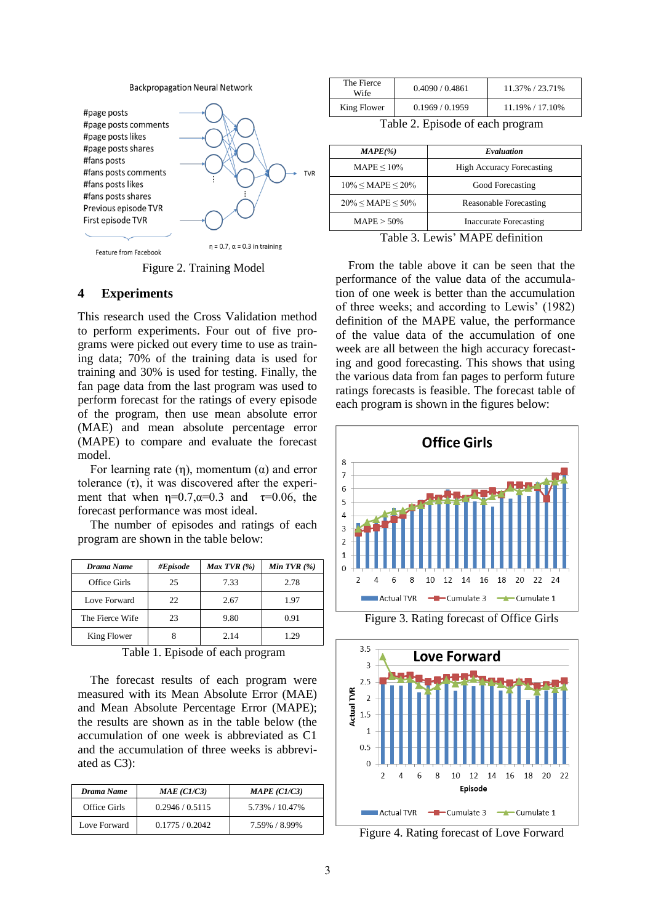

Figure 2. Training Model

# **4 Experiments**

This research used the Cross Validation method to perform experiments. Four out of five programs were picked out every time to use as training data; 70% of the training data is used for training and 30% is used for testing. Finally, the fan page data from the last program was used to perform forecast for the ratings of every episode of the program, then use mean absolute error (MAE) and mean absolute percentage error (MAPE) to compare and evaluate the forecast model.

For learning rate (η), momentum ( $α$ ) and error tolerance (τ), it was discovered after the experiment that when  $\eta=0.7$ ,  $\alpha=0.3$  and  $\tau=0.06$ , the forecast performance was most ideal.

The number of episodes and ratings of each program are shown in the table below:

| Drama Name      | #Episode | Max TVR $(\%)$ | Min TVR $(\%)$ |
|-----------------|----------|----------------|----------------|
| Office Girls    | 25       | 7.33           | 2.78           |
| Love Forward    | 22       | 2.67           | 1.97           |
| The Fierce Wife | 23       | 9.80           | 0.91           |
| King Flower     |          | 2.14           | 1.29           |

Table 1. Episode of each program

The forecast results of each program were measured with its Mean Absolute Error (MAE) and Mean Absolute Percentage Error (MAPE); the results are shown as in the table below (the accumulation of one week is abbreviated as C1 and the accumulation of three weeks is abbreviated as C3):

| Drama Name   | MAE (CI/C3)     | MAPE (C1/C3)   |
|--------------|-----------------|----------------|
| Office Girls | 0.2946 / 0.5115 | 5.73% / 10.47% |
| Love Forward | 0.1775/0.2042   | 7.59% / 8.99%  |

| The Fierce<br>Wife | 0.4090 / 0.4861 | 11.37% / 23.71% |
|--------------------|-----------------|-----------------|
| King Flower        | 0.1969/0.1959   | 11.19% / 17.10% |

Table 2. Episode of each program

| $MAPE(\% )$                       | Evaluation                       |
|-----------------------------------|----------------------------------|
| $MAPE \le 10\%$                   | <b>High Accuracy Forecasting</b> |
| $10\% \leq \text{MAPE} \leq 20\%$ | Good Forecasting                 |
| $20\% \leq \text{MAPE} \leq 50\%$ | Reasonable Forecasting           |
| $MAPE > 50\%$                     | Inaccurate Forecasting           |
| —                                 | 1 F A D D 1 0 1.1                |

Table 3. Lewis' MAPE definition

From the table above it can be seen that the performance of the value data of the accumulation of one week is better than the accumulation of three weeks; and according to Lewis' (1982) definition of the MAPE value, the performance of the value data of the accumulation of one week are all between the high accuracy forecasting and good forecasting. This shows that using the various data from fan pages to perform future ratings forecasts is feasible. The forecast table of each program is shown in the figures below:





Figure 4. Rating forecast of Love Forward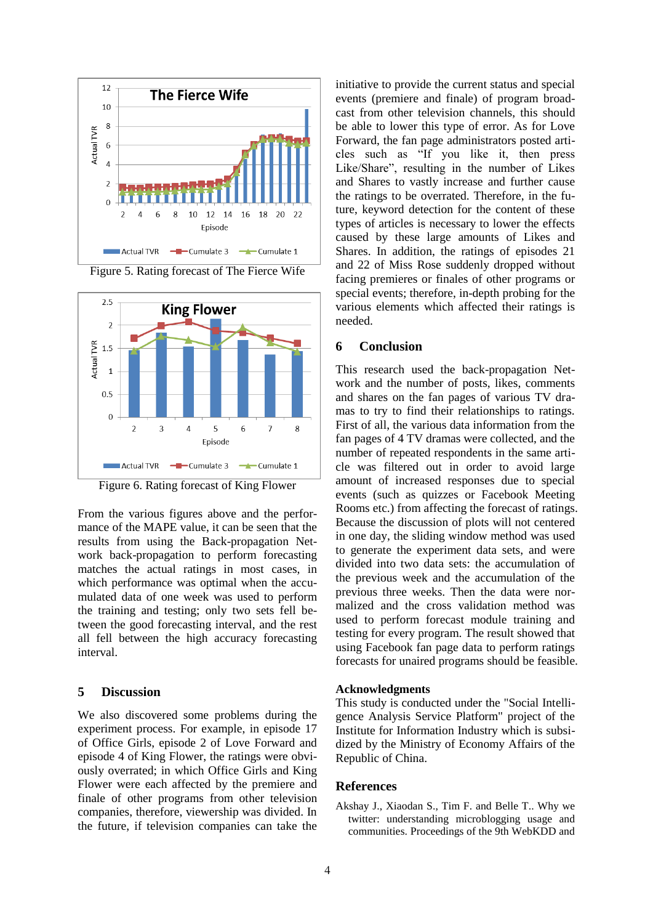

Figure 5. Rating forecast of The Fierce Wife



Figure 6. Rating forecast of King Flower

From the various figures above and the performance of the MAPE value, it can be seen that the results from using the Back-propagation Network back-propagation to perform forecasting matches the actual ratings in most cases, in which performance was optimal when the accumulated data of one week was used to perform the training and testing; only two sets fell between the good forecasting interval, and the rest all fell between the high accuracy forecasting interval.

### **5 Discussion**

We also discovered some problems during the experiment process. For example, in episode 17 of Office Girls, episode 2 of Love Forward and episode 4 of King Flower, the ratings were obviously overrated; in which Office Girls and King Flower were each affected by the premiere and finale of other programs from other television companies, therefore, viewership was divided. In the future, if television companies can take the initiative to provide the current status and special events (premiere and finale) of program broadcast from other television channels, this should be able to lower this type of error. As for Love Forward, the fan page administrators posted articles such as "If you like it, then press Like/Share", resulting in the number of Likes and Shares to vastly increase and further cause the ratings to be overrated. Therefore, in the future, keyword detection for the content of these types of articles is necessary to lower the effects caused by these large amounts of Likes and Shares. In addition, the ratings of episodes 21 and 22 of Miss Rose suddenly dropped without facing premieres or finales of other programs or special events; therefore, in-depth probing for the various elements which affected their ratings is needed.

## **6 Conclusion**

This research used the back-propagation Network and the number of posts, likes, comments and shares on the fan pages of various TV dramas to try to find their relationships to ratings. First of all, the various data information from the fan pages of 4 TV dramas were collected, and the number of repeated respondents in the same article was filtered out in order to avoid large amount of increased responses due to special events (such as quizzes or Facebook Meeting Rooms etc.) from affecting the forecast of ratings. Because the discussion of plots will not centered in one day, the sliding window method was used to generate the experiment data sets, and were divided into two data sets: the accumulation of the previous week and the accumulation of the previous three weeks. Then the data were normalized and the cross validation method was used to perform forecast module training and testing for every program. The result showed that using Facebook fan page data to perform ratings forecasts for unaired programs should be feasible.

### **Acknowledgments**

This study is conducted under the "Social Intelligence Analysis Service Platform" project of the Institute for Information Industry which is subsidized by the Ministry of Economy Affairs of the Republic of China.

# **References**

Akshay J., Xiaodan S., Tim F. and Belle T.. Why we twitter: understanding microblogging usage and communities. Proceedings of the 9th WebKDD and